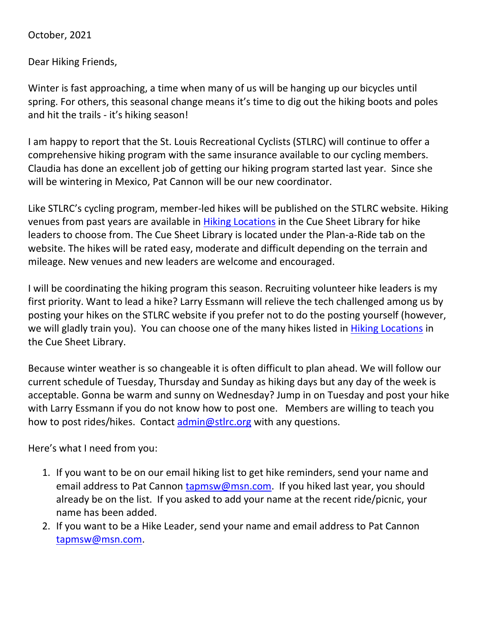October, 2021

Dear Hiking Friends,

Winter is fast approaching, a time when many of us will be hanging up our bicycles until spring. For others, this seasonal change means it's time to dig out the hiking boots and poles and hit the trails - it's hiking season!

I am happy to report that the St. Louis Recreational Cyclists (STLRC) will continue to offer a comprehensive hiking program with the same insurance available to our cycling members. Claudia has done an excellent job of getting our hiking program started last year. Since she will be wintering in Mexico, Pat Cannon will be our new coordinator.

Like STLRC's cycling program, member-led hikes will be published on the STLRC website. Hiking venues from past years are available in [Hiking Locations](https://stlrc.org/wp-content/uploads/2021/12/Hike-Location-Directions-2020.pdf) in the Cue Sheet Library for hike leaders to choose from. The Cue Sheet Library is located under the Plan-a-Ride tab on the website. The hikes will be rated easy, moderate and difficult depending on the terrain and mileage. New venues and new leaders are welcome and encouraged.

I will be coordinating the hiking program this season. Recruiting volunteer hike leaders is my first priority. Want to lead a hike? Larry Essmann will relieve the tech challenged among us by posting your hikes on the STLRC website if you prefer not to do the posting yourself (however, we will gladly train you). You can choose one of the many hikes listed in [Hiking Locations](https://stlrc.org/wp-content/uploads/2021/12/Hike-Location-Directions-2020.pdf) in the Cue Sheet Library.

Because winter weather is so changeable it is often difficult to plan ahead. We will follow our current schedule of Tuesday, Thursday and Sunday as hiking days but any day of the week is acceptable. Gonna be warm and sunny on Wednesday? Jump in on Tuesday and post your hike with Larry Essmann if you do not know how to post one. Members are willing to teach you how to post rides/hikes. Contact [admin@stlrc.org](mailto:admin@stlrc.org) with any questions.

Here's what I need from you:

- 1. If you want to be on our email hiking list to get hike reminders, send your name and email address to Pat Cannon [tapmsw@msn.com.](mailto:tapmsw@msn.com) If you hiked last year, you should already be on the list. If you asked to add your name at the recent ride/picnic, your name has been added.
- 2. If you want to be a Hike Leader, send your name and email address to Pat Cannon [tapmsw@msn.com.](mailto:tapmsw@msn.com)